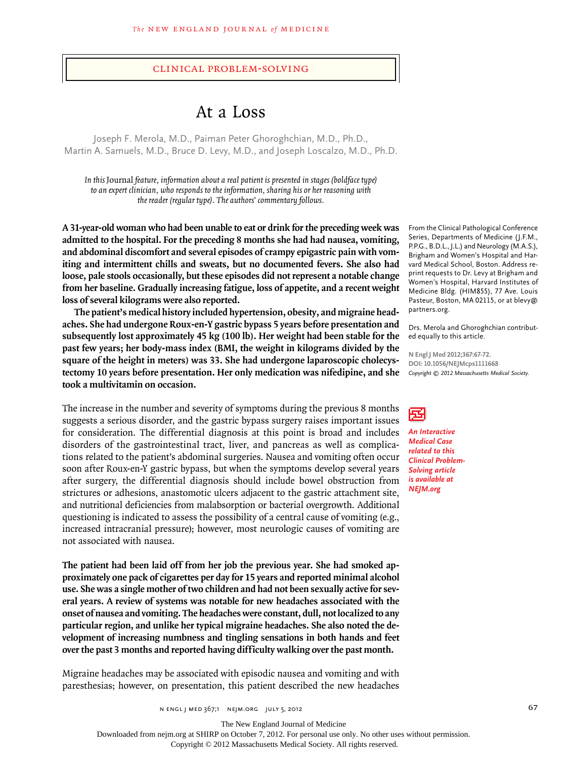#### clinical problem-solving

# At a Loss

Joseph F. Merola, M.D., Paiman Peter Ghoroghchian, M.D., Ph.D., Martin A. Samuels, M.D., Bruce D. Levy, M.D., and Joseph Loscalzo, M.D., Ph.D.

*In this* Journal *feature, information about a real patient is presented in stages (boldface type) to an expert clinician, who responds to the information, sharing his or her reasoning with the reader (regular type). The authors' commentary follows.* 

**A 31-year-old woman who had been unable to eat or drink for the preceding week was admitted to the hospital. For the preceding 8 months she had had nausea, vomiting, and abdominal discomfort and several episodes of crampy epigastric pain with vomiting and intermittent chills and sweats, but no documented fevers. She also had loose, pale stools occasionally, but these episodes did not represent a notable change from her baseline. Gradually increasing fatigue, loss of appetite, and a recent weight loss of several kilograms were also reported.**

**The patient's medical history included hypertension, obesity, and migraine headaches. She had undergone Roux-en-Y gastric bypass 5 years before presentation and subsequently lost approximately 45 kg (100 lb). Her weight had been stable for the past few years; her body-mass index (BMI, the weight in kilograms divided by the square of the height in meters) was 33. She had undergone laparoscopic cholecystectomy 10 years before presentation. Her only medication was nifedipine, and she took a multivitamin on occasion.**

The increase in the number and severity of symptoms during the previous 8 months suggests a serious disorder, and the gastric bypass surgery raises important issues for consideration. The differential diagnosis at this point is broad and includes disorders of the gastrointestinal tract, liver, and pancreas as well as complications related to the patient's abdominal surgeries. Nausea and vomiting often occur soon after Roux-en-Y gastric bypass, but when the symptoms develop several years after surgery, the differential diagnosis should include bowel obstruction from strictures or adhesions, anastomotic ulcers adjacent to the gastric attachment site, and nutritional deficiencies from malabsorption or bacterial overgrowth. Additional questioning is indicated to assess the possibility of a central cause of vomiting (e.g., increased intracranial pressure); however, most neurologic causes of vomiting are not associated with nausea.

**The patient had been laid off from her job the previous year. She had smoked approximately one pack of cigarettes per day for 15 years and reported minimal alcohol use. She was a single mother of two children and had not been sexually active for several years. A review of systems was notable for new headaches associated with the onset of nausea and vomiting. The headaches were constant, dull, not localized to any particular region, and unlike her typical migraine headaches. She also noted the development of increasing numbness and tingling sensations in both hands and feet over the past 3 months and reported having difficulty walking over the past month.**

Migraine headaches may be associated with episodic nausea and vomiting and with paresthesias; however, on presentation, this patient described the new headaches

From the Clinical Pathological Conference Series, Departments of Medicine (J.F.M., P.P.G., B.D.L., J.L.) and Neurology (M.A.S.), Brigham and Women's Hospital and Harvard Medical School, Boston. Address reprint requests to Dr. Levy at Brigham and Women's Hospital, Harvard Institutes of Medicine Bldg. (HIM855), 77 Ave. Louis Pasteur, Boston, MA 02115, or at blevy@ partners.org.

Drs. Merola and Ghoroghchian contributed equally to this article.

**N Engl J Med 2012;367:67-72. DOI: 10.1056/NEJMcps1111668** *Copyright © 2012 Massachusetts Medical Society.*

## 퍼

*An Interactive Medical Case related to this Clinical Problem-Solving article is available at NEJM.org*

The New England Journal of Medicine

Downloaded from nejm.org at SHIRP on October 7, 2012. For personal use only. No other uses without permission.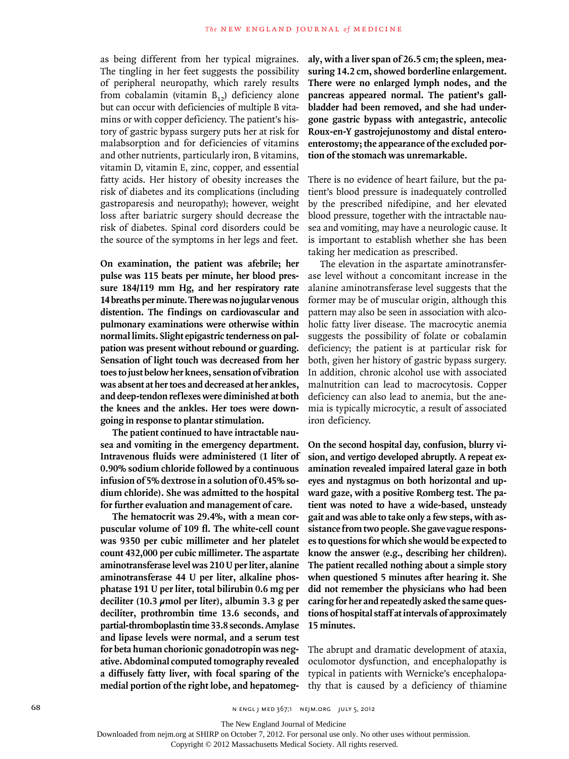as being different from her typical migraines. The tingling in her feet suggests the possibility of peripheral neuropathy, which rarely results from cobalamin (vitamin  $B_{12}$ ) deficiency alone but can occur with deficiencies of multiple B vitamins or with copper deficiency. The patient's history of gastric bypass surgery puts her at risk for malabsorption and for deficiencies of vitamins and other nutrients, particularly iron, B vitamins, vitamin D, vitamin E, zinc, copper, and essential fatty acids. Her history of obesity increases the risk of diabetes and its complications (including gastroparesis and neuropathy); however, weight loss after bariatric surgery should decrease the risk of diabetes. Spinal cord disorders could be the source of the symptoms in her legs and feet.

**On examination, the patient was afebrile; her pulse was 115 beats per minute, her blood pressure 184/119 mm Hg, and her respiratory rate 14 breaths per minute. There was no jugular venous distention. The findings on cardiovascular and pulmonary examinations were otherwise within normal limits. Slight epigastric tenderness on palpation was present without rebound or guarding. Sensation of light touch was decreased from her toes to just below her knees, sensation of vibration was absent at her toes and decreased at her ankles, and deep-tendon reflexes were diminished at both the knees and the ankles. Her toes were downgoing in response to plantar stimulation.**

**The patient continued to have intractable nausea and vomiting in the emergency department. Intravenous fluids were administered (1 liter of 0.90% sodium chloride followed by a continuous infusion of 5% dextrose in a solution of 0.45% sodium chloride). She was admitted to the hospital for further evaluation and management of care.**

**The hematocrit was 29.4%, with a mean corpuscular volume of 109 fl. The white-cell count was 9350 per cubic millimeter and her platelet count 432,000 per cubic millimeter. The aspartate aminotransferase level was 210 U per liter, alanine aminotransferase 44 U per liter, alkaline phosphatase 191 U per liter, total bilirubin 0.6 mg per deciliter (10.3 μmol per liter), albumin 3.3 g per deciliter, prothrombin time 13.6 seconds, and partial-thromboplastin time 33.8 seconds. Amylase and lipase levels were normal, and a serum test for beta human chorionic gonadotropin was negative. Abdominal computed tomography revealed a diffusely fatty liver, with focal sparing of the medial portion of the right lobe, and hepatomeg-** **aly, with a liver span of 26.5 cm; the spleen, measuring 14.2 cm, showed borderline enlargement. There were no enlarged lymph nodes, and the pancreas appeared normal. The patient's gallbladder had been removed, and she had undergone gastric bypass with antegastric, antecolic Roux-en-Y gastrojejunostomy and distal enteroenterostomy; the appearance of the excluded portion of the stomach was unremarkable.**

There is no evidence of heart failure, but the patient's blood pressure is inadequately controlled by the prescribed nifedipine, and her elevated blood pressure, together with the intractable nausea and vomiting, may have a neurologic cause. It is important to establish whether she has been taking her medication as prescribed.

The elevation in the aspartate aminotransferase level without a concomitant increase in the alanine aminotransferase level suggests that the former may be of muscular origin, although this pattern may also be seen in association with alcoholic fatty liver disease. The macrocytic anemia suggests the possibility of folate or cobalamin deficiency; the patient is at particular risk for both, given her history of gastric bypass surgery. In addition, chronic alcohol use with associated malnutrition can lead to macrocytosis. Copper deficiency can also lead to anemia, but the anemia is typically microcytic, a result of associated iron deficiency.

**On the second hospital day, confusion, blurry vision, and vertigo developed abruptly. A repeat examination revealed impaired lateral gaze in both eyes and nystagmus on both horizontal and upward gaze, with a positive Romberg test. The patient was noted to have a wide-based, unsteady gait and was able to take only a few steps, with assistance from two people. She gave vague responses to questions for which she would be expected to know the answer (e.g., describing her children). The patient recalled nothing about a simple story when questioned 5 minutes after hearing it. She did not remember the physicians who had been caring for her and repeatedly asked the same questions of hospital staff at intervals of approximately 15 minutes.**

The abrupt and dramatic development of ataxia, oculomotor dysfunction, and encephalopathy is typical in patients with Wernicke's encephalopathy that is caused by a deficiency of thiamine

The New England Journal of Medicine

Downloaded from nejm.org at SHIRP on October 7, 2012. For personal use only. No other uses without permission.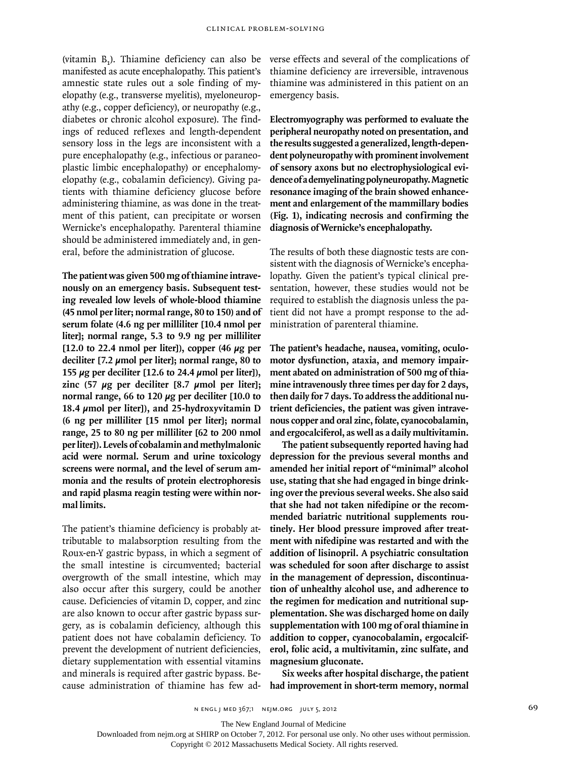(vitamin  $B_1$ ). Thiamine deficiency can also be manifested as acute encephalopathy. This patient's amnestic state rules out a sole finding of myelopathy (e.g., transverse myelitis), myeloneuropathy (e.g., copper deficiency), or neuropathy (e.g., diabetes or chronic alcohol exposure). The findings of reduced reflexes and length-dependent sensory loss in the legs are inconsistent with a pure encephalopathy (e.g., infectious or paraneoplastic limbic encephalopathy) or encephalomyelopathy (e.g., cobalamin deficiency). Giving patients with thiamine deficiency glucose before administering thiamine, as was done in the treatment of this patient, can precipitate or worsen Wernicke's encephalopathy. Parenteral thiamine should be administered immediately and, in general, before the administration of glucose.

**The patient was given 500 mg of thiamine intravenously on an emergency basis. Subsequent testing revealed low levels of whole-blood thiamine (45 nmol per liter; normal range, 80 to 150) and of serum folate (4.6 ng per milliliter [10.4 nmol per liter]; normal range, 5.3 to 9.9 ng per milliliter [12.0 to 22.4 nmol per liter]), copper (46 μg per deciliter [7.2 μmol per liter]; normal range, 80 to 155 μg per deciliter [12.6 to 24.4 μmol per liter]), zinc (57 μg per deciliter [8.7 μmol per liter]; normal range, 66 to 120 μg per deciliter [10.0 to 18.4 μmol per liter]), and 25-hydroxyvitamin D (6 ng per milliliter [15 nmol per liter]; normal range, 25 to 80 ng per milliliter [62 to 200 nmol per liter]). Levels of cobalamin and methylmalonic acid were normal. Serum and urine toxicology screens were normal, and the level of serum ammonia and the results of protein electrophoresis and rapid plasma reagin testing were within normal limits.**

The patient's thiamine deficiency is probably attributable to malabsorption resulting from the Roux-en-Y gastric bypass, in which a segment of the small intestine is circumvented; bacterial overgrowth of the small intestine, which may also occur after this surgery, could be another cause. Deficiencies of vitamin D, copper, and zinc are also known to occur after gastric bypass surgery, as is cobalamin deficiency, although this patient does not have cobalamin deficiency. To prevent the development of nutrient deficiencies, dietary supplementation with essential vitamins and minerals is required after gastric bypass. Because administration of thiamine has few ad-

verse effects and several of the complications of thiamine deficiency are irreversible, intravenous thiamine was administered in this patient on an emergency basis.

**Electromyography was performed to evaluate the peripheral neuropathy noted on presentation, and the results suggested a generalized, length-dependent polyneuropathy with prominent involvement of sensory axons but no electrophysiological evidence of a demyelinating polyneuropathy. Magnetic resonance imaging of the brain showed enhancement and enlargement of the mammillary bodies (Fig. 1), indicating necrosis and confirming the diagnosis of Wernicke's encephalopathy.**

The results of both these diagnostic tests are consistent with the diagnosis of Wernicke's encephalopathy. Given the patient's typical clinical presentation, however, these studies would not be required to establish the diagnosis unless the patient did not have a prompt response to the administration of parenteral thiamine.

**The patient's headache, nausea, vomiting, oculomotor dysfunction, ataxia, and memory impairment abated on administration of 500 mg of thiamine intravenously three times per day for 2 days, then daily for 7 days. To address the additional nutrient deficiencies, the patient was given intravenous copper and oral zinc, folate, cyanocobalamin, and ergocalciferol, as well as a daily multivitamin.**

**The patient subsequently reported having had depression for the previous several months and amended her initial report of "minimal" alcohol use, stating that she had engaged in binge drinking over the previous several weeks. She also said that she had not taken nifedipine or the recommended bariatric nutritional supplements routinely. Her blood pressure improved after treatment with nifedipine was restarted and with the addition of lisinopril. A psychiatric consultation was scheduled for soon after discharge to assist in the management of depression, discontinuation of unhealthy alcohol use, and adherence to the regimen for medication and nutritional supplementation. She was discharged home on daily supplementation with 100 mg of oral thiamine in addition to copper, cyanocobalamin, ergocalciferol, folic acid, a multivitamin, zinc sulfate, and magnesium gluconate.**

**Six weeks after hospital discharge, the patient had improvement in short-term memory, normal** 

The New England Journal of Medicine

Downloaded from nejm.org at SHIRP on October 7, 2012. For personal use only. No other uses without permission.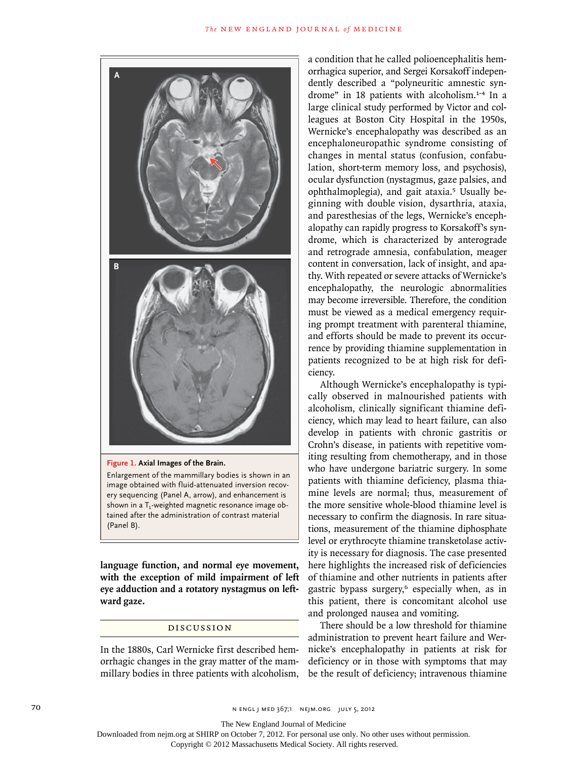#### The NEW ENGLAND JOURNAL of MEDICINE



**Figure 1. Axial Images of the Brain.**

Enlargement of the mammillary bodies is shown in an image obtained with fluid-attenuated inversion recovery sequencing (Panel A, arrow), and enhancement is shown in a  $T_1$ -weighted magnetic resonance image obtained after the administration of contrast material (Panel B).

**language function, and normal eye movement, with the exception of mild impairment of left eye adduction and a rotatory nystagmus on leftward gaze.**

### Discussion

In the 1880s, Carl Wernicke first described hemorrhagic changes in the gray matter of the mammillary bodies in three patients with alcoholism, a condition that he called polioencephalitis hemorrhagica superior, and Sergei Korsakoff independently described a "polyneuritic amnestic syndrome" in 18 patients with alcoholism.1-4 In a large clinical study performed by Victor and colleagues at Boston City Hospital in the 1950s, Wernicke's encephalopathy was described as an encephaloneuropathic syndrome consisting of changes in mental status (confusion, confabulation, short-term memory loss, and psychosis), ocular dysfunction (nystagmus, gaze palsies, and ophthalmoplegia), and gait ataxia.5 Usually beginning with double vision, dysarthria, ataxia, and paresthesias of the legs, Wernicke's encephalopathy can rapidly progress to Korsakoff's syndrome, which is characterized by anterograde and retrograde amnesia, confabulation, meager content in conversation, lack of insight, and apathy. With repeated or severe attacks of Wernicke's encephalopathy, the neurologic abnormalities may become irreversible. Therefore, the condition must be viewed as a medical emergency requiring prompt treatment with parenteral thiamine, and efforts should be made to prevent its occurrence by providing thiamine supplementation in patients recognized to be at high risk for deficiency.

Although Wernicke's encephalopathy is typically observed in malnourished patients with alcoholism, clinically significant thiamine deficiency, which may lead to heart failure, can also develop in patients with chronic gastritis or Crohn's disease, in patients with repetitive vomiting resulting from chemotherapy, and in those who have undergone bariatric surgery. In some patients with thiamine deficiency, plasma thiamine levels are normal; thus, measurement of the more sensitive whole-blood thiamine level is necessary to confirm the diagnosis. In rare situations, measurement of the thiamine diphosphate level or erythrocyte thiamine transketolase activity is necessary for diagnosis. The case presented here highlights the increased risk of deficiencies of thiamine and other nutrients in patients after gastric bypass surgery,<sup>6</sup> especially when, as in this patient, there is concomitant alcohol use and prolonged nausea and vomiting.

There should be a low threshold for thiamine administration to prevent heart failure and Wernicke's encephalopathy in patients at risk for deficiency or in those with symptoms that may be the result of deficiency; intravenous thiamine

70 N ENGL J MED 367;1 NEJM.ORG JULY 5, 2012

The New England Journal of Medicine

Downloaded from nejm.org at SHIRP on October 7, 2012. For personal use only. No other uses without permission.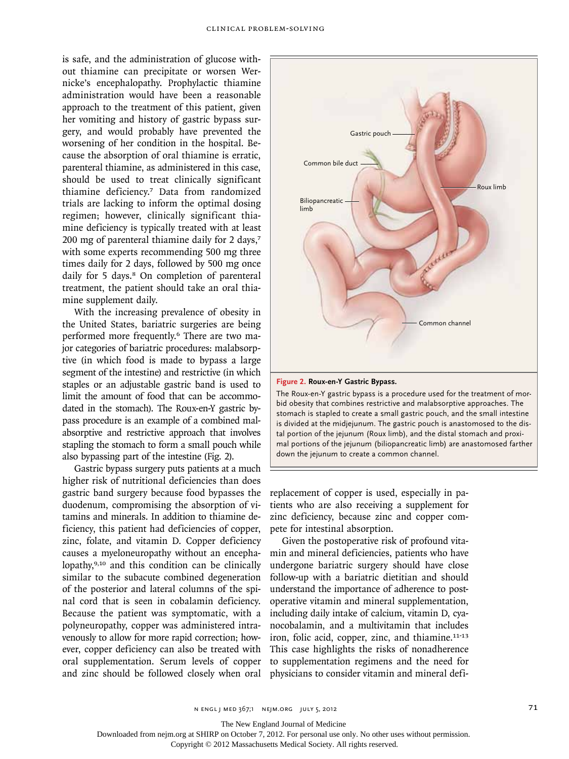is safe, and the administration of glucose without thiamine can precipitate or worsen Wernicke's encephalopathy. Prophylactic thiamine administration would have been a reasonable approach to the treatment of this patient, given her vomiting and history of gastric bypass surgery, and would probably have prevented the worsening of her condition in the hospital. Because the absorption of oral thiamine is erratic, parenteral thiamine, as administered in this case, should be used to treat clinically significant thiamine deficiency.7 Data from randomized trials are lacking to inform the optimal dosing regimen; however, clinically significant thiamine deficiency is typically treated with at least 200 mg of parenteral thiamine daily for 2 days,<sup>7</sup> with some experts recommending 500 mg three times daily for 2 days, followed by 500 mg once daily for 5 days.<sup>8</sup> On completion of parenteral treatment, the patient should take an oral thiamine supplement daily.

With the increasing prevalence of obesity in the United States, bariatric surgeries are being performed more frequently.6 There are two major categories of bariatric procedures: malabsorptive (in which food is made to bypass a large segment of the intestine) and restrictive (in which staples or an adjustable gastric band is used to limit the amount of food that can be accommodated in the stomach). The Roux-en-Y gastric bypass procedure is an example of a combined malabsorptive and restrictive approach that involves stapling the stomach to form a small pouch while also bypassing part of the intestine (Fig. 2).

Gastric bypass surgery puts patients at a much higher risk of nutritional deficiencies than does gastric band surgery because food bypasses the duodenum, compromising the absorption of vitamins and minerals. In addition to thiamine deficiency, this patient had deficiencies of copper, zinc, folate, and vitamin D. Copper deficiency causes a myeloneuropathy without an encephalopathy,<sup>9,10</sup> and this condition can be clinically similar to the subacute combined degeneration of the posterior and lateral columns of the spinal cord that is seen in cobalamin deficiency. Because the patient was symptomatic, with a polyneuropathy, copper was administered intravenously to allow for more rapid correction; however, copper deficiency can also be treated with oral supplementation. Serum levels of copper and zinc should be followed closely when oral





stomach is stapled to create a small gastric pouch, and the small intestine is divided at the midjejunum. The gastric pouch is anastomosed to the dis-Fig # 1 tal portion of the jejunum (Roux limb), and the distal stomach and proximal portions of the jejunum (biliopancreatic limb) are anastomosed farther down the jejunum to create a common channel.<br>' bid obesity that combines restrictive and malabsorptive approaches. The The Roux-en-Y gastric bypass is a procedure used for the treatment of mor-

DE

Salomon

replacement of copper is used, especially in pa- $\frac{1}{2}$  tients who are also receiving a supplement for zinc deficiency, because zinc and copper compete for intestinal absorption.

Given the postoperative risk of profound vitamin and mineral deficiencies, patients who have undergone bariatric surgery should have close follow-up with a bariatric dietitian and should understand the importance of adherence to postoperative vitamin and mineral supplementation, including daily intake of calcium, vitamin D, cyanocobalamin, and a multivitamin that includes iron, folic acid, copper, zinc, and thiamine.<sup>11-13</sup> This case highlights the risks of nonadherence to supplementation regimens and the need for physicians to consider vitamin and mineral defi-

The New England Journal of Medicine

Downloaded from nejm.org at SHIRP on October 7, 2012. For personal use only. No other uses without permission.